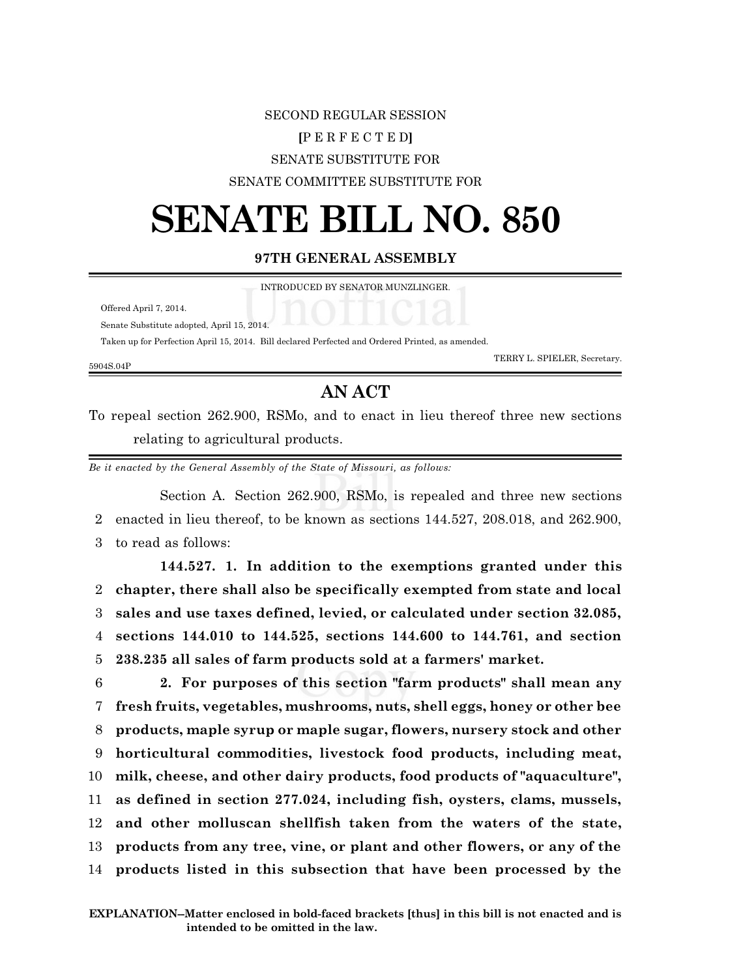## SECOND REGULAR SESSION

### **[**P E R F E C T E D**]**

### SENATE SUBSTITUTE FOR

### SENATE COMMITTEE SUBSTITUTE FOR

# **SENATE BILL NO. 850**

### **97TH GENERAL ASSEMBLY**

|  |  | INTRODUCED BY SENATOR MUNZLINGER. |
|--|--|-----------------------------------|
|  |  |                                   |

| Offered April 7, 2014. |  |  |
|------------------------|--|--|
|                        |  |  |

Senate Substitute adopted, April 15, 2014.

Taken up for Perfection April 15, 2014. Bill declared Perfected and Ordered Printed, as amended.

#### 5904S.04P

TERRY L. SPIELER, Secretary.

## **AN ACT**

To repeal section 262.900, RSMo, and to enact in lieu thereof three new sections relating to agricultural products.

*Be it enacted by the General Assembly of the State of Missouri, as follows:*

Section A. Section 262.900, RSMo, is repealed and three new sections 2 enacted in lieu thereof, to be known as sections 144.527, 208.018, and 262.900, 3 to read as follows:

**144.527. 1. In addition to the exemptions granted under this chapter, there shall also be specifically exempted from state and local sales and use taxes defined, levied, or calculated under section 32.085, sections 144.010 to 144.525, sections 144.600 to 144.761, and section 238.235 all sales of farm products sold at a farmers' market.**

 **2. For purposes of this section "farm products" shall mean any fresh fruits, vegetables, mushrooms, nuts, shell eggs, honey or other bee products, maple syrup or maple sugar, flowers, nursery stock and other horticultural commodities, livestock food products, including meat, milk, cheese, and other dairy products, food products of "aquaculture", as defined in section 277.024, including fish, oysters, clams, mussels, and other molluscan shellfish taken from the waters of the state, products from any tree, vine, or plant and other flowers, or any of the products listed in this subsection that have been processed by the**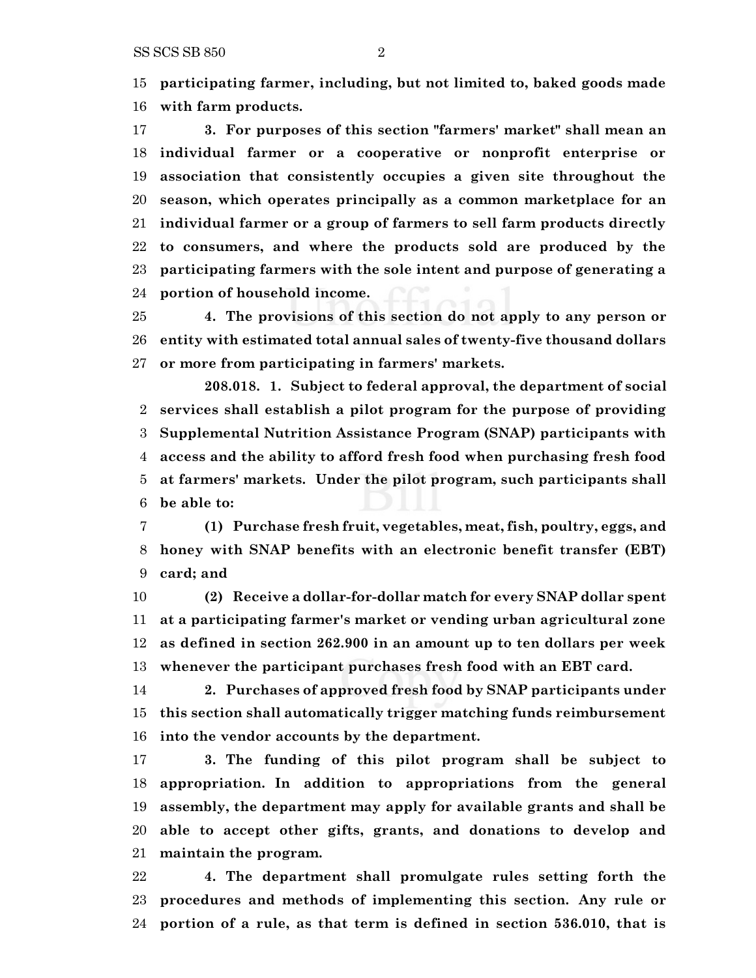SS SCS SB 850 2

 **participating farmer, including, but not limited to, baked goods made with farm products.**

 **3. For purposes of this section "farmers' market" shall mean an individual farmer or a cooperative or nonprofit enterprise or association that consistently occupies a given site throughout the season, which operates principally as a common marketplace for an individual farmer or a group of farmers to sell farm products directly to consumers, and where the products sold are produced by the participating farmers with the sole intent and purpose of generating a portion of household income.**

 **4. The provisions of this section do not apply to any person or entity with estimated total annual sales of twenty-five thousand dollars or more from participating in farmers' markets.**

**208.018. 1. Subject to federal approval, the department of social services shall establish a pilot program for the purpose of providing Supplemental Nutrition Assistance Program (SNAP) participants with access and the ability to afford fresh food when purchasing fresh food at farmers' markets. Under the pilot program, such participants shall be able to:**

 **(1) Purchase fresh fruit, vegetables, meat, fish, poultry, eggs, and honey with SNAP benefits with an electronic benefit transfer (EBT) card; and**

 **(2) Receive a dollar-for-dollar match for every SNAP dollar spent at a participating farmer's market or vending urban agricultural zone as defined in section 262.900 in an amount up to ten dollars per week whenever the participant purchases fresh food with an EBT card.**

 **2. Purchases of approved fresh food by SNAP participants under this section shall automatically trigger matching funds reimbursement into the vendor accounts by the department.**

 **3. The funding of this pilot program shall be subject to appropriation. In addition to appropriations from the general assembly, the department may apply for available grants and shall be able to accept other gifts, grants, and donations to develop and maintain the program.**

 **4. The department shall promulgate rules setting forth the procedures and methods of implementing this section. Any rule or portion of a rule, as that term is defined in section 536.010, that is**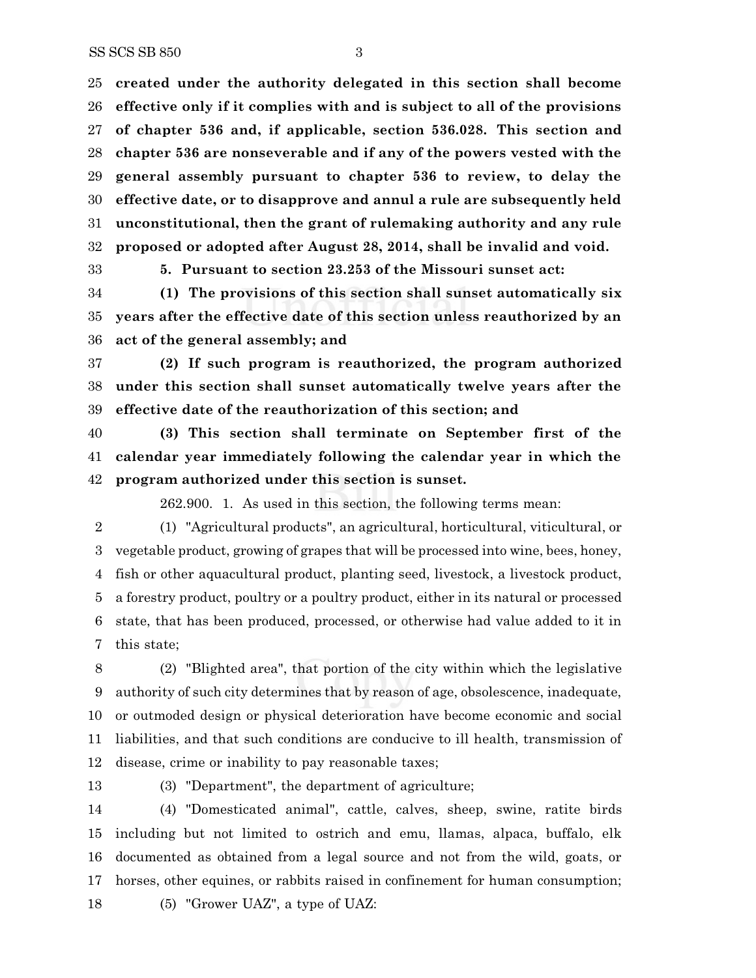**created under the authority delegated in this section shall become effective only if it complies with and is subject to all of the provisions of chapter 536 and, if applicable, section 536.028. This section and chapter 536 are nonseverable and if any of the powers vested with the general assembly pursuant to chapter 536 to review, to delay the effective date, or to disapprove and annul a rule are subsequently held unconstitutional, then the grant of rulemaking authority and any rule proposed or adopted after August 28, 2014, shall be invalid and void.**

**5. Pursuant to section 23.253 of the Missouri sunset act:**

 **(1) The provisions of this section shall sunset automatically six years after the effective date of this section unless reauthorized by an act of the general assembly; and**

 **(2) If such program is reauthorized, the program authorized under this section shall sunset automatically twelve years after the effective date of the reauthorization of this section; and**

 **(3) This section shall terminate on September first of the calendar year immediately following the calendar year in which the program authorized under this section is sunset.**

262.900. 1. As used in this section, the following terms mean:

 (1) "Agricultural products", an agricultural, horticultural, viticultural, or vegetable product, growing of grapes that will be processed into wine, bees, honey, fish or other aquacultural product, planting seed, livestock, a livestock product, a forestry product, poultry or a poultry product, either in its natural or processed state, that has been produced, processed, or otherwise had value added to it in this state;

 (2) "Blighted area", that portion of the city within which the legislative authority of such city determines that by reason of age, obsolescence, inadequate, or outmoded design or physical deterioration have become economic and social liabilities, and that such conditions are conducive to ill health, transmission of disease, crime or inability to pay reasonable taxes;

(3) "Department", the department of agriculture;

 (4) "Domesticated animal", cattle, calves, sheep, swine, ratite birds including but not limited to ostrich and emu, llamas, alpaca, buffalo, elk documented as obtained from a legal source and not from the wild, goats, or horses, other equines, or rabbits raised in confinement for human consumption; (5) "Grower UAZ", a type of UAZ: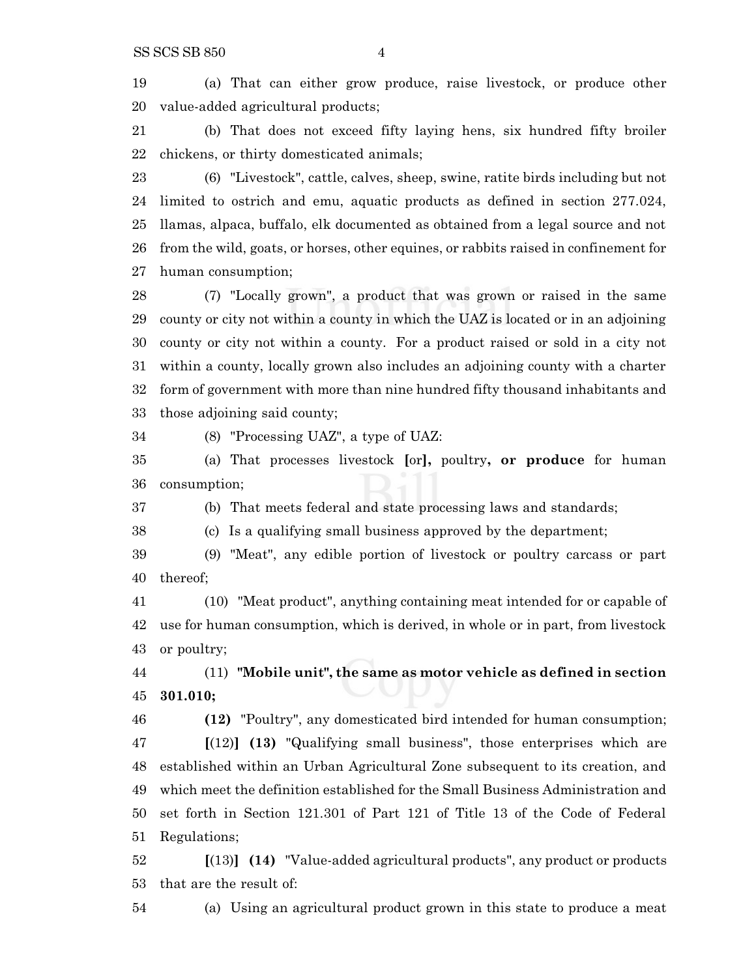(a) That can either grow produce, raise livestock, or produce other value-added agricultural products;

 (b) That does not exceed fifty laying hens, six hundred fifty broiler chickens, or thirty domesticated animals;

 (6) "Livestock", cattle, calves, sheep, swine, ratite birds including but not limited to ostrich and emu, aquatic products as defined in section 277.024, llamas, alpaca, buffalo, elk documented as obtained from a legal source and not from the wild, goats, or horses, other equines, or rabbits raised in confinement for human consumption;

 (7) "Locally grown", a product that was grown or raised in the same county or city not within a county in which the UAZ is located or in an adjoining county or city not within a county. For a product raised or sold in a city not within a county, locally grown also includes an adjoining county with a charter form of government with more than nine hundred fifty thousand inhabitants and those adjoining said county;

(8) "Processing UAZ", a type of UAZ:

 (a) That processes livestock **[**or**],** poultry**, or produce** for human consumption;

(b) That meets federal and state processing laws and standards;

(c) Is a qualifying small business approved by the department;

 (9) "Meat", any edible portion of livestock or poultry carcass or part thereof;

 (10) "Meat product", anything containing meat intended for or capable of use for human consumption, which is derived, in whole or in part, from livestock or poultry;

 (11) **"Mobile unit", the same as motor vehicle as defined in section 301.010;**

 **(12)** "Poultry", any domesticated bird intended for human consumption; **[**(12)**] (13)** "Qualifying small business", those enterprises which are established within an Urban Agricultural Zone subsequent to its creation, and which meet the definition established for the Small Business Administration and set forth in Section 121.301 of Part 121 of Title 13 of the Code of Federal

Regulations;

 **[**(13)**] (14)** "Value-added agricultural products", any product or products that are the result of:

(a) Using an agricultural product grown in this state to produce a meat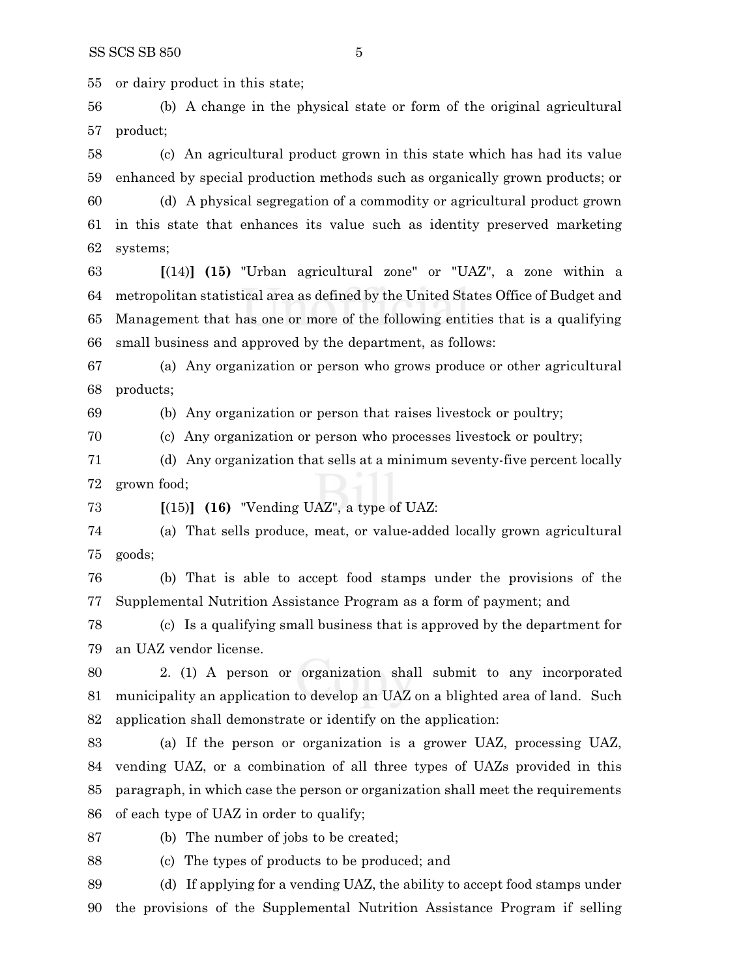or dairy product in this state;

 (b) A change in the physical state or form of the original agricultural product;

 (c) An agricultural product grown in this state which has had its value enhanced by special production methods such as organically grown products; or

 (d) A physical segregation of a commodity or agricultural product grown in this state that enhances its value such as identity preserved marketing systems;

 **[**(14)**] (15)** "Urban agricultural zone" or "UAZ", a zone within a metropolitan statistical area as defined by the United States Office of Budget and Management that has one or more of the following entities that is a qualifying small business and approved by the department, as follows:

 (a) Any organization or person who grows produce or other agricultural products;

(b) Any organization or person that raises livestock or poultry;

(c) Any organization or person who processes livestock or poultry;

 (d) Any organization that sells at a minimum seventy-five percent locally grown food;

**[**(15)**] (16)** "Vending UAZ", a type of UAZ:

 (a) That sells produce, meat, or value-added locally grown agricultural goods;

 (b) That is able to accept food stamps under the provisions of the Supplemental Nutrition Assistance Program as a form of payment; and

 (c) Is a qualifying small business that is approved by the department for an UAZ vendor license.

 2. (1) A person or organization shall submit to any incorporated municipality an application to develop an UAZ on a blighted area of land. Such application shall demonstrate or identify on the application:

 (a) If the person or organization is a grower UAZ, processing UAZ, vending UAZ, or a combination of all three types of UAZs provided in this paragraph, in which case the person or organization shall meet the requirements of each type of UAZ in order to qualify;

(b) The number of jobs to be created;

(c) The types of products to be produced; and

 (d) If applying for a vending UAZ, the ability to accept food stamps under the provisions of the Supplemental Nutrition Assistance Program if selling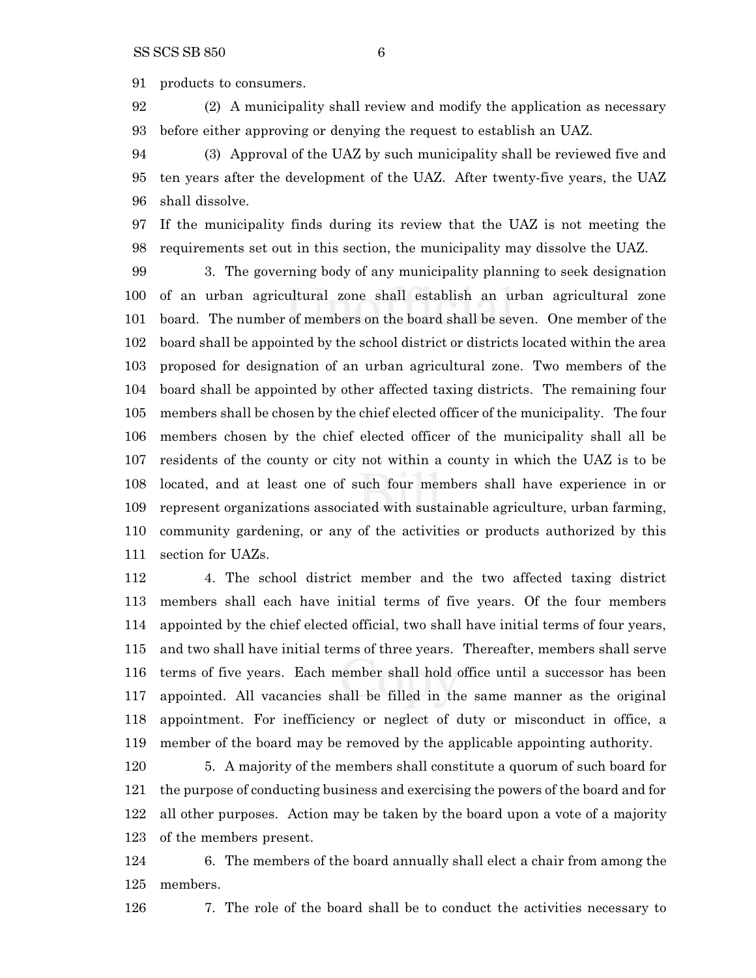products to consumers.

 (2) A municipality shall review and modify the application as necessary before either approving or denying the request to establish an UAZ.

 (3) Approval of the UAZ by such municipality shall be reviewed five and ten years after the development of the UAZ. After twenty-five years, the UAZ shall dissolve.

 If the municipality finds during its review that the UAZ is not meeting the requirements set out in this section, the municipality may dissolve the UAZ.

 3. The governing body of any municipality planning to seek designation of an urban agricultural zone shall establish an urban agricultural zone board. The number of members on the board shall be seven. One member of the board shall be appointed by the school district or districts located within the area proposed for designation of an urban agricultural zone. Two members of the board shall be appointed by other affected taxing districts. The remaining four members shall be chosen by the chief elected officer of the municipality. The four members chosen by the chief elected officer of the municipality shall all be residents of the county or city not within a county in which the UAZ is to be located, and at least one of such four members shall have experience in or represent organizations associated with sustainable agriculture, urban farming, community gardening, or any of the activities or products authorized by this section for UAZs.

 4. The school district member and the two affected taxing district members shall each have initial terms of five years. Of the four members appointed by the chief elected official, two shall have initial terms of four years, and two shall have initial terms of three years. Thereafter, members shall serve terms of five years. Each member shall hold office until a successor has been appointed. All vacancies shall be filled in the same manner as the original appointment. For inefficiency or neglect of duty or misconduct in office, a member of the board may be removed by the applicable appointing authority.

 5. A majority of the members shall constitute a quorum of such board for the purpose of conducting business and exercising the powers of the board and for all other purposes. Action may be taken by the board upon a vote of a majority of the members present.

 6. The members of the board annually shall elect a chair from among the members.

7. The role of the board shall be to conduct the activities necessary to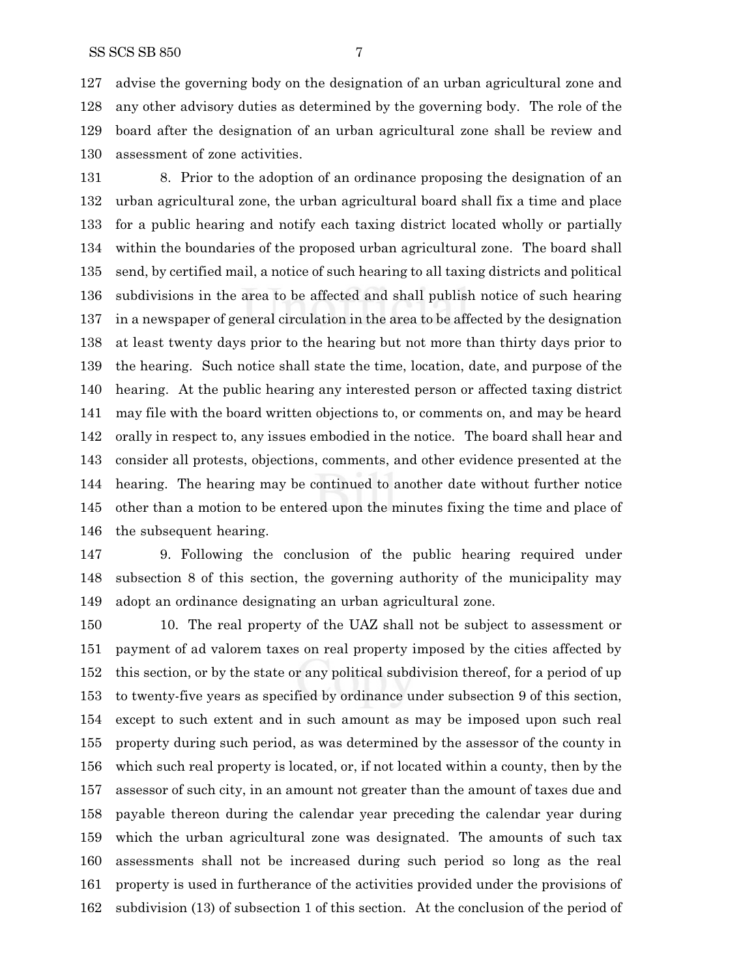advise the governing body on the designation of an urban agricultural zone and any other advisory duties as determined by the governing body. The role of the board after the designation of an urban agricultural zone shall be review and assessment of zone activities.

 8. Prior to the adoption of an ordinance proposing the designation of an urban agricultural zone, the urban agricultural board shall fix a time and place for a public hearing and notify each taxing district located wholly or partially within the boundaries of the proposed urban agricultural zone. The board shall send, by certified mail, a notice of such hearing to all taxing districts and political subdivisions in the area to be affected and shall publish notice of such hearing in a newspaper of general circulation in the area to be affected by the designation at least twenty days prior to the hearing but not more than thirty days prior to the hearing. Such notice shall state the time, location, date, and purpose of the hearing. At the public hearing any interested person or affected taxing district may file with the board written objections to, or comments on, and may be heard orally in respect to, any issues embodied in the notice. The board shall hear and consider all protests, objections, comments, and other evidence presented at the hearing. The hearing may be continued to another date without further notice other than a motion to be entered upon the minutes fixing the time and place of the subsequent hearing.

 9. Following the conclusion of the public hearing required under subsection 8 of this section, the governing authority of the municipality may adopt an ordinance designating an urban agricultural zone.

 10. The real property of the UAZ shall not be subject to assessment or payment of ad valorem taxes on real property imposed by the cities affected by this section, or by the state or any political subdivision thereof, for a period of up to twenty-five years as specified by ordinance under subsection 9 of this section, except to such extent and in such amount as may be imposed upon such real property during such period, as was determined by the assessor of the county in which such real property is located, or, if not located within a county, then by the assessor of such city, in an amount not greater than the amount of taxes due and payable thereon during the calendar year preceding the calendar year during which the urban agricultural zone was designated. The amounts of such tax assessments shall not be increased during such period so long as the real property is used in furtherance of the activities provided under the provisions of subdivision (13) of subsection 1 of this section. At the conclusion of the period of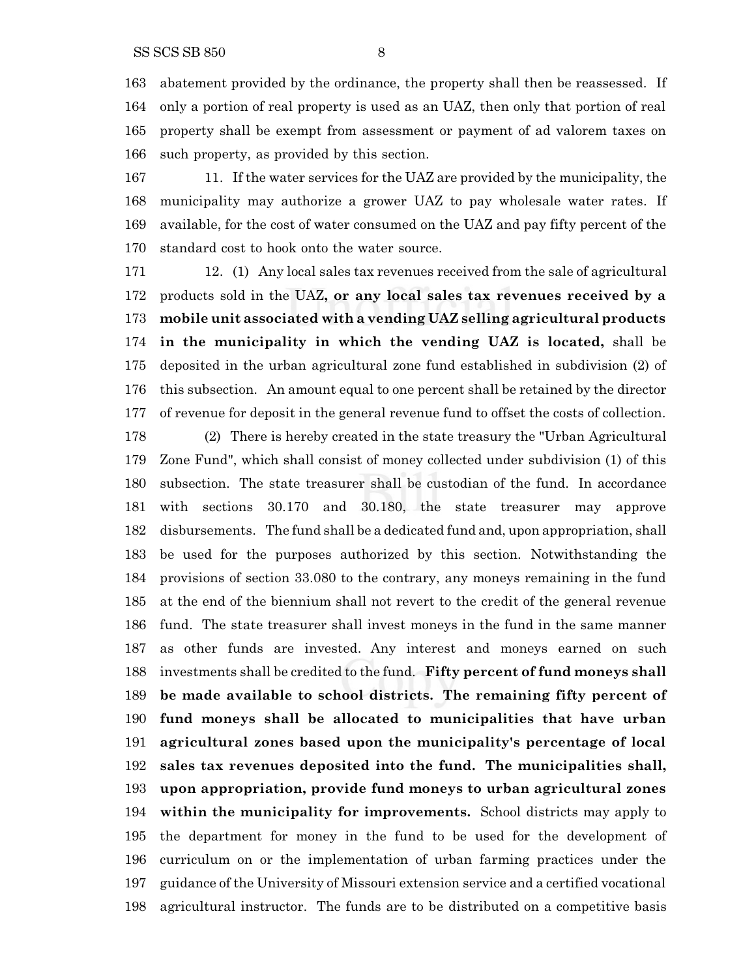abatement provided by the ordinance, the property shall then be reassessed. If only a portion of real property is used as an UAZ, then only that portion of real property shall be exempt from assessment or payment of ad valorem taxes on

such property, as provided by this section.

 11. If the water services for the UAZ are provided by the municipality, the municipality may authorize a grower UAZ to pay wholesale water rates. If available, for the cost of water consumed on the UAZ and pay fifty percent of the standard cost to hook onto the water source.

 12. (1) Any local sales tax revenues received from the sale of agricultural products sold in the UAZ**, or any local sales tax revenues received by a mobile unit associated with a vending UAZ selling agricultural products in the municipality in which the vending UAZ is located,** shall be deposited in the urban agricultural zone fund established in subdivision (2) of this subsection. An amount equal to one percent shall be retained by the director of revenue for deposit in the general revenue fund to offset the costs of collection.

 (2) There is hereby created in the state treasury the "Urban Agricultural Zone Fund", which shall consist of money collected under subdivision (1) of this subsection. The state treasurer shall be custodian of the fund. In accordance with sections 30.170 and 30.180, the state treasurer may approve disbursements. The fund shall be a dedicated fund and, upon appropriation, shall be used for the purposes authorized by this section. Notwithstanding the provisions of section 33.080 to the contrary, any moneys remaining in the fund at the end of the biennium shall not revert to the credit of the general revenue fund. The state treasurer shall invest moneys in the fund in the same manner as other funds are invested. Any interest and moneys earned on such investments shall be credited to the fund. **Fifty percent of fund moneys shall be made available to school districts. The remaining fifty percent of fund moneys shall be allocated to municipalities that have urban agricultural zones based upon the municipality's percentage of local sales tax revenues deposited into the fund. The municipalities shall, upon appropriation, provide fund moneys to urban agricultural zones within the municipality for improvements.** School districts may apply to the department for money in the fund to be used for the development of curriculum on or the implementation of urban farming practices under the guidance of the University of Missouri extension service and a certified vocational agricultural instructor. The funds are to be distributed on a competitive basis